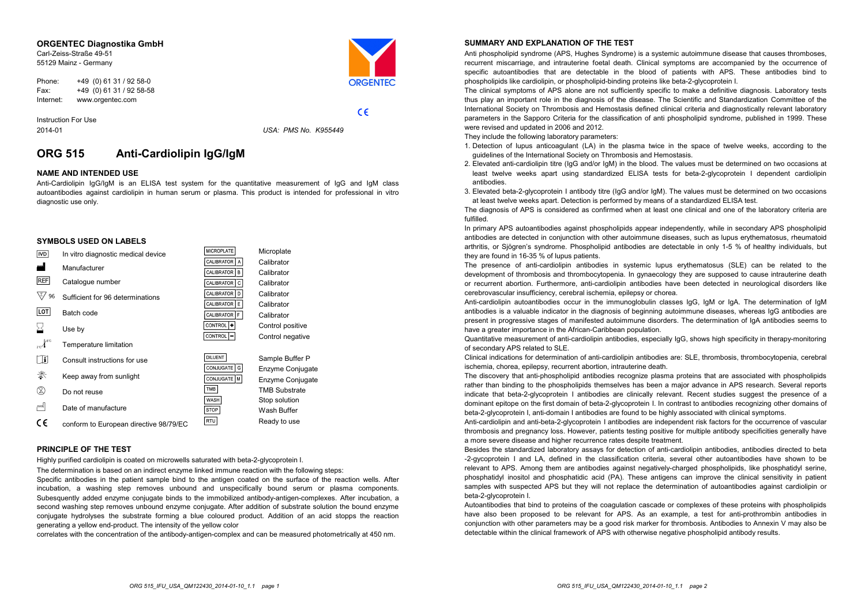#### **ORGENTEC Diagnostika GmbH**

Carl-Zeiss-Straße 49-51 55129 Mainz - Germany



 $C \in$ 

Phone: +49 (0) 61 31 / 92 58-0 Fax: +49 (0) 61 31 / 92 58-58 Internet: www.orgentec.com

Instruction For Use 2014-01

*USA: PMS No. K955449*

# **ORG 515 Anti-Cardiolipin IgG/IgM**

# **NAME AND INTENDED USE**

Anti-Cardiolipin IgG/IgM is an ELISA test system for the quantitative measurement of IgG and IgM class autoantibodies against cardiolipin in human serum or plasma. This product is intended for professional in vitro diagnostic use only.

# **SYMBOLS USED ON LABELS**

| <b>IVD</b> | In vitro diagnostic medical device     | MICROPLATE                        | Microplate           |
|------------|----------------------------------------|-----------------------------------|----------------------|
| النن       | Manufacturer                           | <b>CALIBRATOR</b><br>$\mathsf{A}$ | Calibrator           |
|            |                                        | CALIBRATOR<br>B                   | Calibrator           |
| REF        | Catalogue number                       | CALIBRATOR<br>c                   | Calibrator           |
| 96         | Sufficient for 96 determinations       | CALIBRATOR D                      | Calibrator           |
|            |                                        | CALIBRATOR<br>E                   | Calibrator           |
| LOT        | Batch code                             | CALIBRATOR   F                    | Calibrator           |
|            | Use by                                 | CONTROL<br>٠                      | Control positive     |
|            |                                        | CONTROL                           | Control negative     |
| lle"c      | Temperature limitation                 |                                   |                      |
| Œ          | Consult instructions for use           | <b>DILUENT</b>                    | Sample Buffer P      |
|            |                                        | CONJUGATE   G                     | Enzyme Conjugate     |
| 类          | Keep away from sunlight                | CONJUGATE   M                     | Enzyme Conjugate     |
| ⊗          | Do not reuse                           | TMB                               | <b>TMB Substrate</b> |
|            |                                        | WASH                              | Stop solution        |
| اسم        | Date of manufacture                    | STOP                              | Wash Buffer          |
| C٤         | conform to European directive 98/79/EC | RTU                               | Ready to use         |

#### **PRINCIPLE OF THE TEST**

Highly purified cardiolipin is coated on microwells saturated with beta-2-glycoprotein I.

The determination is based on an indirect enzyme linked immune reaction with the following steps:

Specific antibodies in the patient sample bind to the antigen coated on the surface of the reaction wells. After incubation, <sup>a</sup> washing step removes unbound and unspecifically bound serum or plasma components. Subesquently added enzyme conjugate binds to the immobilized antibody-antigen-complexes. After incubation, a second washing step removes unbound enzyme conjugate. After addition of substrate solution the bound enzyme conjugate hydrolyses the substrate forming a blue coloured product. Addition of an acid stopps the reaction generating a yellow end-product. The intensity of the yellow color

correlates with the concentration of the antibody-antigen-complex and can be measured photometrically at 450 nm.

## **SUMMARY AND EXPLANATION OF THE TEST**

Anti phospholipid syndrome (APS, Hughes Syndrome) is <sup>a</sup> systemic autoimmune disease that causes thromboses, recurrent miscarriage, and intrauterine foetal death. Clinical symptoms are accompanied by the occurrence of specific autoantibodies that are detectable in the blood of patients with APS. These antibodies bind to phospholipids like cardiolipin, or phospholipid-binding proteins like beta-2-glycoprotein I.

The clinical symptoms of APS alone are not sufficiently specific to make <sup>a</sup> definitive diagnosis. Laboratory tests thus play an important role in the diagnosis of the disease. The Scientific and Standardization Committee of the International Society on Thrombosis and Hemostasis defined clinical criteria and diagnostically relevant laboratory parameters in the Sapporo Criteria for the classification of anti phospholipid syndrome, published in 1999. These were revised and updated in 2006 and 2012.

They include the following laboratory parameters:

- 1. Detection of lupus anticoagulant (LA) in the plasma twice in the space of twelve weeks, according to the guidelines of the International Society on Thrombosis and Hemostasis.
- 2. Elevated anti-cardiolipin titre (IgG and/or IgM) in the blood. The values must be determined on two occasions at least twelve weeks apart using standardized ELISA tests for beta-2-glycoprotein I dependent cardiolipin antibodies.
- 3. Elevated beta-2-glycoprotein I antibody titre (IgG and/or IgM). The values must be determined on two occasions at least twelve weeks apart. Detection is performed by means of a standardized ELISA test.

The diagnosis of APS is considered as confirmed when at least one clinical and one of the laboratory criteria are fulfilled.

In primary APS autoantibodies against phospholipids appear independently, while in secondary APS phospholipid antibodies are detected in conjunction with other autoimmune diseases, such as lupus erythematosus, rheumatoid arthritis, or Sjögren's syndrome. Phospholipid antibodies are detectable in only 1-5 % of healthy individuals, but they are found in 16-35 % of lupus patients.

The presence of anti-cardiolipin antibodies in systemic lupus erythematosus (SLE) can be related to the development of thrombosis and thrombocytopenia. In gynaecology they are supposed to cause intrauterine death or recurrent abortion. Furthermore, anti-cardiolipin antibodies have been detected in neurological disorders like cerebrovascular insufficiency, cerebral ischemia, epilepsy or chorea.

Anti-cardiolipin autoantibodies occur in the immunoglobulin classes IgG, IgM or IgA. The determination of IgM antibodies is a valuable indicator in the diagnosis of beginning autoimmune diseases, whereas IgG antibodies are present in progressive stages of manifested autoimmune disorders. The determination of IgA antibodies seems to have a greater importance in the African-Caribbean population.

Quantitative measurement of anti-cardiolipin antibodies, especially IgG, shows high specificity in therapy-monitoring of secondary APS related to SLE.

Clinical indications for determination of anti-cardiolipin antibodies are: SLE, thrombosis, thrombocytopenia, cerebral ischemia, chorea, epilepsy, recurrent abortion, intrauterine death.

The discovery that anti-phospholipid antibodies recognize plasma proteins that are associated with phospholipids rather than binding to the phospholipids themselves has been <sup>a</sup> major advance in APS research. Several reports indicate that beta-2-glycoprotein I antibodies are clinically relevant. Recent studies suggest the presence of a dominant epitope on the first domain of beta-2-glycoprotein I. In contrast to antibodies recognizing other domains of beta-2-glycoprotein I, anti-domain I antibodies are found to be highly associated with clinical symptoms.

Anti-cardiolipin and anti-beta-2-glycoprotein I antibodies are independent risk factors for the occurrence of vascular thrombosis and pregnancy loss. However, patients testing positive for multiple antibody specificities generally have a more severe disease and higher recurrence rates despite treatment.

Besides the standardized laboratory assays for detection of anti-cardiolipin antibodies, antibodies directed to beta -2-gycoprotein I and LA, defined in the classification criteria, several other autoantibodies have shown to be relevant to APS. Among them are antibodies against negatively-charged phospholipids, like phosphatidyl serine, phosphatidyl inositol and phosphatidic acid (PA). These antigens can improve the clinical sensitivity in patient samples with suspected APS but they will not replace the determination of autoantibodies against cardiolipin or beta-2-glycoprotein I.

Autoantibodies that bind to proteins of the coagulation cascade or complexes of these proteins with phospholipids have also been proposed to be relevant for APS. As an example, <sup>a</sup> test for anti-prothrombin antibodies in conjunction with other parameters may be a good risk marker for thrombosis. Antibodies to Annexin V may also be detectable within the clinical framework of APS with otherwise negative phospholipid antibody results.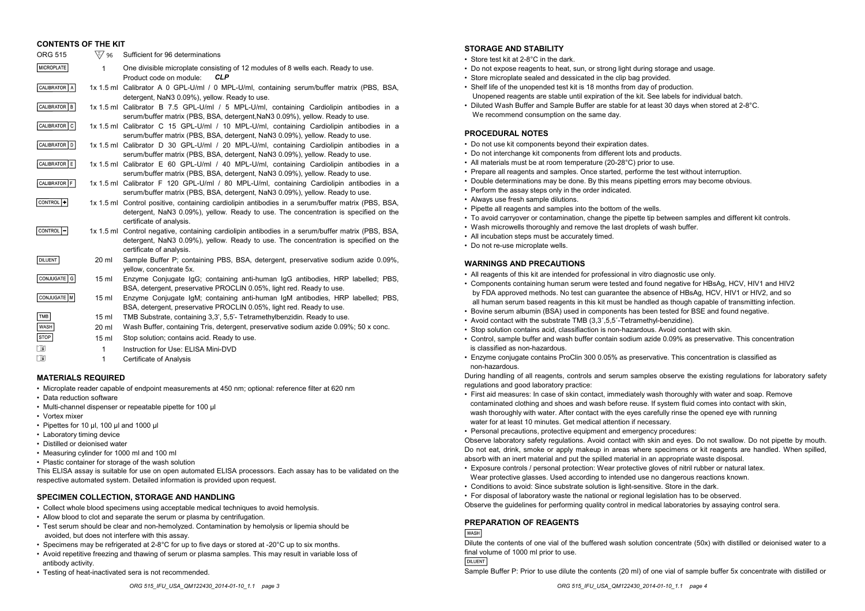| <b>CONTENTS OF THE KIT</b> |                  |                                                                                                                                                                                                                      |
|----------------------------|------------------|----------------------------------------------------------------------------------------------------------------------------------------------------------------------------------------------------------------------|
| <b>ORG 515</b>             | ∖⊱⁄ 96           | Sufficient for 96 determinations                                                                                                                                                                                     |
| MICROPLATE                 | 1                | One divisible microplate consisting of 12 modules of 8 wells each. Ready to use.<br>Product code on module:<br><b>CLP</b>                                                                                            |
| CALIBRATOR   A             |                  | 1x 1.5 ml Calibrator A 0 GPL-U/ml / 0 MPL-U/ml, containing serum/buffer matrix (PBS, BSA,<br>detergent, NaN3 0.09%), yellow. Ready to use.                                                                           |
| CALIBRATOR   B             |                  | 1x 1.5 ml Calibrator B 7.5 GPL-U/ml / 5 MPL-U/ml, containing Cardiolipin antibodies in a<br>serum/buffer matrix (PBS, BSA, detergent, NaN3 0.09%), yellow. Ready to use.                                             |
| CALIBRATOR   C             |                  | 1x 1.5 ml Calibrator C 15 GPL-U/ml / 10 MPL-U/ml, containing Cardiolipin antibodies in a<br>serum/buffer matrix (PBS, BSA, detergent, NaN3 0.09%), yellow. Ready to use.                                             |
| CALIBRATOR   D             |                  | 1x 1.5 ml Calibrator D 30 GPL-U/ml / 20 MPL-U/ml, containing Cardiolipin antibodies in a<br>serum/buffer matrix (PBS, BSA, detergent, NaN3 0.09%), yellow. Ready to use.                                             |
| CALIBRATOR E               |                  | 1x 1.5 ml Calibrator E 60 GPL-U/ml / 40 MPL-U/ml, containing Cardiolipin antibodies in a<br>serum/buffer matrix (PBS, BSA, detergent, NaN3 0.09%), yellow. Ready to use.                                             |
| CALIBRATOR F               |                  | 1x 1.5 ml Calibrator F 120 GPL-U/ml / 80 MPL-U/ml, containing Cardiolipin antibodies in a<br>serum/buffer matrix (PBS, BSA, detergent, NaN3 0.09%), yellow. Ready to use.                                            |
| CONTROL <sup>1</sup>       |                  | 1x 1.5 ml Control positive, containing cardiolipin antibodies in a serum/buffer matrix (PBS, BSA,<br>detergent, NaN3 0.09%), yellow. Ready to use. The concentration is specified on the<br>certificate of analysis. |
| CONTROL <sup>1</sup> -     |                  | 1x 1.5 ml Control negative, containing cardiolipin antibodies in a serum/buffer matrix (PBS, BSA,<br>detergent, NaN3 0.09%), yellow. Ready to use. The concentration is specified on the<br>certificate of analysis. |
| <b>DILUENT</b>             | $20 \mathrm{ml}$ | Sample Buffer P; containing PBS, BSA, detergent, preservative sodium azide 0.09%,<br>yellow, concentrate 5x.                                                                                                         |
| <b>CONJUGATE</b><br>G      | 15 <sub>ml</sub> | Enzyme Conjugate IgG; containing anti-human IgG antibodies, HRP labelled; PBS,                                                                                                                                       |

- belled: PBS. BSA, detergent, preservative PROCLIN 0.05%, light red. Ready to use.
- CONJUGATE M Enzyme Conjugate IgM; containing anti-human IgM antibodies, HRP labelled; PBS, 15 ml BSA, detergent, preservative PROCLIN 0.05%, light red. Ready to use.
- TMB TMB Substrate, containing 3,3', 5,5'- Tetramethylbenzidin. Ready to use. 15 ml WASH
	- 20 ml Wash Buffer, containing Tris, detergent, preservative sodium azide 0.09%; 50 x conc.
	- 15 ml Stop solution; contains acid. Ready to use.
		- 1 Instruction for Use: ELISA Mini-DVD
			- 1 Certificate of Analysis

## **MATERIALS REQUIRED**

- Microplate reader capable of endpoint measurements at 450 nm; optional: reference filter at 620 nm
- Data reduction software
- Multi-channel dispenser or repeatable pipette for 100 µl
- Vortex mixer

i i

**STOP** 

- Pipettes for 10 µl, 100 µl and 1000 µl
- Laboratory timing device
- Distilled or deionised water
- Measuring cylinder for 1000 ml and 100 ml
- Plastic container for storage of the wash solution

This ELISA assay is suitable for use on open automated ELISA processors. Each assay has to be validated on the respective automated system. Detailed information is provided upon request.

# **SPECIMEN COLLECTION, STORAGE AND HANDLING**

- Collect whole blood specimens using acceptable medical techniques to avoid hemolysis.
- Allow blood to clot and separate the serum or plasma by centrifugation.
- Test serum should be clear and non-hemolyzed. Contamination by hemolysis or lipemia should be avoided, but does not interfere with this assay.
- Specimens may be refrigerated at 2-8°C for up to five days or stored at -20°C up to six months.
- Avoid repetitive freezing and thawing of serum or plasma samples. This may result in variable loss of antibody activity.
- Testing of heat-inactivated sera is not recommended.

# **STORAGE AND STABILITY**

- Store test kit at 2-8°C in the dark.
- Do not expose reagents to heat, sun, or strong light during storage and usage.
- Store microplate sealed and dessicated in the clip bag provided.
- Shelf life of the unopended test kit is 18 months from day of production. Unopened reagents are stable until expiration of the kit. See labels for individual batch.
- Diluted Wash Buffer and Sample Buffer are stable for at least 30 days when stored at 2-8°C. We recommend consumption on the same day.

# **PROCEDURAL NOTES**

- Do not use kit components beyond their expiration dates.
- Do not interchange kit components from different lots and products.
- All materials must be at room temperature (20-28°C) prior to use.
- Prepare all reagents and samples. Once started, performe the test without interruption.
- Double determinations may be done. By this means pipetting errors may become obvious.
- Perform the assay steps only in the order indicated.
- Always use fresh sample dilutions.
- Pipette all reagents and samples into the bottom of the wells.
- To avoid carryover or contamination, change the pipette tip between samples and different kit controls.
- Wash microwells thoroughly and remove the last droplets of wash buffer.
- All incubation steps must be accurately timed.
- Do not re-use microplate wells.

## **WARNINGS AND PRECAUTIONS**

- All reagents of this kit are intended for professional in vitro diagnostic use only.
- Components containing human serum were tested and found negative for HBsAg, HCV, HIV1 and HIV2 by FDA approved methods. No test can guarantee the absence of HBsAg, HCV, HIV1 or HIV2, and so all human serum based reagents in this kit must be handled as though capable of transmitting infection.
- Bovine serum albumin (BSA) used in components has been tested for BSE and found negative.
- Avoid contact with the substrate TMB (3,3´,5,5´-Tetramethyl-benzidine).
- Stop solution contains acid, classifiaction is non-hazardous. Avoid contact with skin.
- Control, sample buffer and wash buffer contain sodium azide 0.09% as preservative. This concentration is classified as non-hazardous.
- Enzyme conjugate contains ProClin 300 0.05% as preservative. This concentration is classified as non-hazardous.

During handling of all reagents, controls and serum samples observe the existing regulations for laboratory safety regulations and good laboratory practice:

• First aid measures: In case of skin contact, immediately wash thoroughly with water and soap. Remove contaminated clothing and shoes and wash before reuse. If system fluid comes into contact with skin, wash thoroughly with water. After contact with the eyes carefully rinse the opened eye with running water for at least 10 minutes. Get medical attention if necessary.

• Personal precautions, protective equipment and emergency procedures:

Observe laboratory safety regulations. Avoid contact with skin and eyes. Do not swallow. Do not pipette by mouth. Do not eat, drink, smoke or apply makeup in areas where specimens or kit reagents are handled. When spilled, absorb with an inert material and put the spilled material in an appropriate waste disposal.

- Exposure controls / personal protection: Wear protective gloves of nitril rubber or natural latex. Wear protective glasses. Used according to intended use no dangerous reactions known.
- Conditions to avoid: Since substrate solution is light-sensitive. Store in the dark.

• For disposal of laboratory waste the national or regional legislation has to be observed. Observe the guidelines for performing quality control in medical laboratories by assaying control sera.

## **PREPARATION OF REAGENTS**

**WASH** 

Dilute the contents of one vial of the buffered wash solution concentrate (50x) with distilled or deionised water to a final volume of 1000 ml prior to use.

**DILUENT** 

Sample Buffer P: Prior to use dilute the contents (20 ml) of one vial of sample buffer 5x concentrate with distilled or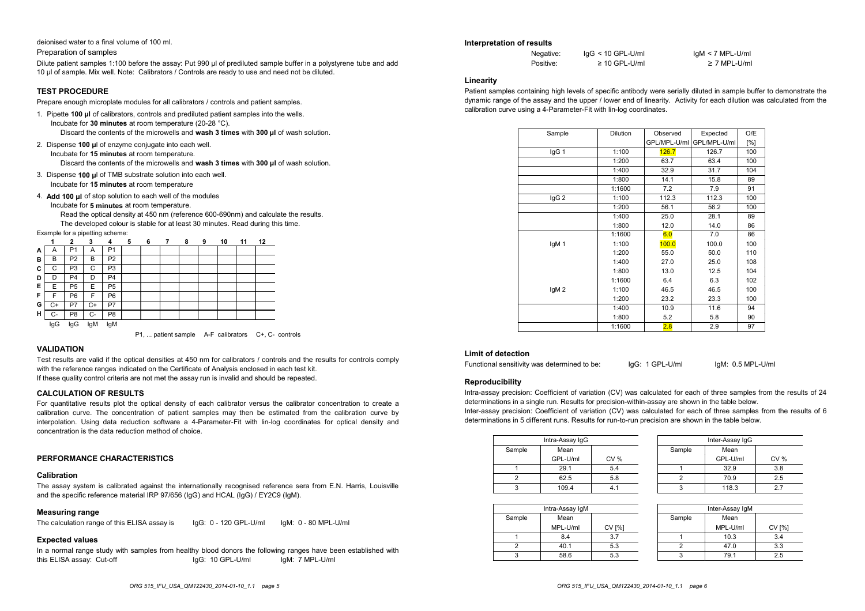deionised water to a final volume of 100 ml.

Preparation of samples

Dilute patient samples 1:100 before the assay: Put 990 µl of prediluted sample buffer in a polystyrene tube and add 10 µl of sample. Mix well. Note: Calibrators / Controls are ready to use and need not be diluted.

#### **TEST PROCEDURE**

Prepare enough microplate modules for all calibrators / controls and patient samples.

- 1. Pipette **100 µl** of calibrators, controls and prediluted patient samples into the wells. Incubate for **30 minutes** at room temperature (20-28 °C).
	- Discard the contents of the microwells and **wash 3 times** with **300 µl** of wash solution.
- 2. Dispense **100 µ**l of enzyme conjugate into each well. Incubate for **15 minutes** at room temperature.

Discard the contents of the microwells and **wash 3 times** with **300 µl** of wash solution.

- 3. Dispense **100 µ**l of TMB substrate solution into each well. Incubate for **15 minutes** at room temperature
- 4. **Add 100 µl** of stop solution to each well of the modules
	- Incubate for **5 minutes** at room temperature.

Read the optical density at 450 nm (reference 600-690nm) and calculate the results. The developed colour is stable for at least 30 minutes. Read during this time.

Example for a pipetting scheme:

|   |      | 2              | 3              | 4              | 5 | 6 | 7 | 8 | 9 | 10 | 11 | 12 |
|---|------|----------------|----------------|----------------|---|---|---|---|---|----|----|----|
| А | A    | P <sub>1</sub> | A              | P <sub>1</sub> |   |   |   |   |   |    |    |    |
| в | В    | P <sub>2</sub> | в              | P2             |   |   |   |   |   |    |    |    |
| С | С    | P <sub>3</sub> | С              | P <sub>3</sub> |   |   |   |   |   |    |    |    |
| D | D    | P <sub>4</sub> | D              | P <sub>4</sub> |   |   |   |   |   |    |    |    |
| Е | E    | P <sub>5</sub> | E              | P <sub>5</sub> |   |   |   |   |   |    |    |    |
| F | F    | P <sub>6</sub> | F              | P <sub>6</sub> |   |   |   |   |   |    |    |    |
| G | C+   | P7             | C+             | P7             |   |   |   |   |   |    |    |    |
| н | $C-$ | P8             | C-             | P8             |   |   |   |   |   |    |    |    |
|   | lnC  | lnC            | $\mathsf{InM}$ | InM            |   |   |   |   |   |    |    |    |

IgG IgG IgM IgM

P1, ... patient sample A-F calibrators C+, C- controls

# **VALIDATION**

Test results are valid if the optical densities at 450 nm for calibrators / controls and the results for controls comply with the reference ranges indicated on the Certificate of Analysis enclosed in each test kit. If these quality control criteria are not met the assay run is invalid and should be repeated.

#### **CALCULATION OF RESULTS**

For quantitative results plot the optical density of each calibrator versus the calibrator concentration to create a calibration curve. The concentration of patient samples may then be estimated from the calibration curve by interpolation. Using data reduction software a 4-Parameter-Fit with lin-log coordinates for optical density and concentration is the data reduction method of choice.

#### **PERFORMANCE CHARACTERISTICS**

# **Calibration**

The assay system is calibrated against the internationally recognised reference sera from E.N. Harris, Louisville and the specific reference material IRP 97/656 (IgG) and HCAL (IgG) / EY2C9 (IgM).

#### **Measuring range**

The calculation range of this ELISA assay is IgG: 0 - 120 GPL-U/ml IgM: 0 - 80 MPL-U/ml

## **Expected values**

In a normal range study with samples from healthy blood donors the following ranges have been established with this ELISA assay: Cut-off IgG: 10 GPL-U/ml IgM: 7 MPL-U/ml

#### **Interpretation of results**

| Negative: | $IqG < 10$ GPL-U/ml |
|-----------|---------------------|
| Positive: | $\geq$ 10 GPL-U/ml  |

 $I$ aM < 7 MPL-U/ml ≥ 7 MPL-U/ml

#### **Linearity**

Patient samples containing high levels of specific antibody were serially diluted in sample buffer to demonstrate the dynamic range of the assay and the upper / lower end of linearity. Activity for each dilution was calculated from the calibration curve using a 4-Parameter-Fit with lin-log coordinates. 9. IgG < 10 GPL-U/ml<br>  $\ge$  10 GPL-U/ml<br>  $\ge$  10 GPL-U/ml<br>
gh levels of specific antibody were serially diluted<br>
ind the upper / lower end of linearity. Activity for<br>
rameter-Fit with lin-log coordinates.<br>
The Dilution Ob

| Sample           | <b>Dilution</b> | Observed     | Expected     | O/E |
|------------------|-----------------|--------------|--------------|-----|
|                  |                 | GPL/MPL-U/ml | GPL/MPL-U/ml | [%] |
| IgG 1            | 1:100           | 126.7        | 126.7        | 100 |
|                  | 1:200           | 63.7         | 63.4         | 100 |
|                  | 1:400           | 32.9         | 31.7         | 104 |
|                  | 1:800           | 14.1         | 15.8         | 89  |
|                  | 1:1600          | 7.2          | 7.9          | 91  |
| IgG <sub>2</sub> | 1:100           | 112.3        | 112.3        | 100 |
|                  | 1:200           | 56.1         | 56.2         | 100 |
|                  | 1:400           | 25.0         | 28.1         | 89  |
|                  | 1:800           | 12.0         | 14.0         | 86  |
|                  | 1:1600          | 6.0          | 7.0          | 86  |
| IgM 1            | 1:100           | 100.0        | 100.0        | 100 |
|                  | 1:200           | 55.0         | 50.0         | 110 |
|                  | 1:400           | 27.0         | 25.0         | 108 |
|                  | 1:800           | 13.0         | 12.5         | 104 |
|                  | 1:1600          | 6.4          | 6.3          | 102 |
| lgM <sub>2</sub> | 1:100           | 46.5         | 46.5         | 100 |
|                  | 1:200           | 23.2         | 23.3         | 100 |
|                  | 1:400           | 10.9         | 11.6         | 94  |
|                  | 1:800           | 5.2          | 5.8          | 90  |
|                  | 1:1600          | 2.8          | 2.9          | 97  |

#### **Limit of detection**

Functional sensitivity was determined to be:

IgM: 0.5 MPL-U/ml

#### **Reproducibility**

Intra-assay precision: Coefficient of variation (CV) was calculated for each of three samples from the results of 24 determinations in a single run. Results for precision-within-assay are shown in the table below. ..

IgG: 1 GPL-U/ml

Inter-assay precision: Coefficient of variation (CV) was calculated for each of three samples from the results of 6 determinations in 5 different runs. Results for run-to-run precision are shown in the table below.

| Intra-Assay IgG |          |      |  |  |  |  |  |
|-----------------|----------|------|--|--|--|--|--|
| Sample          |          |      |  |  |  |  |  |
|                 | GPL-U/ml | CV % |  |  |  |  |  |
|                 | 29.1     | 5.4  |  |  |  |  |  |
|                 | 62.5     | 5.8  |  |  |  |  |  |
|                 | 109.4    | 41   |  |  |  |  |  |

| Inter-Assay IgG |          |     |  |  |  |  |  |  |
|-----------------|----------|-----|--|--|--|--|--|--|
| Sample          |          |     |  |  |  |  |  |  |
|                 | GPL-U/ml | CV% |  |  |  |  |  |  |
|                 | 32.9     | 3.8 |  |  |  |  |  |  |
| 2               | 70.9     | 25  |  |  |  |  |  |  |
|                 | 118.3    | 27  |  |  |  |  |  |  |

|        | Intra-Assay IgM |        |      | Inter-Assay IgM |                 |
|--------|-----------------|--------|------|-----------------|-----------------|
| Sample | Mean            | Sample | Mean |                 |                 |
|        | MPL-U/ml        | CV[%]  |      | MPL-U/ml        | CV <sup>I</sup> |
|        | 8.4             | 3.7    |      | 10.3            | 3.4             |
|        | 40.1            | 5.3    |      | 47.0            | 3.3             |
|        | 58.6            | 5.3    |      | 79.1            | 2.5             |

| Inter-Assay IgM |          |       |  |  |  |  |  |  |
|-----------------|----------|-------|--|--|--|--|--|--|
| Sample          |          |       |  |  |  |  |  |  |
|                 | MPL-U/ml | CV[%] |  |  |  |  |  |  |
|                 | 10.3     | 3.4   |  |  |  |  |  |  |
|                 | 47.0     | 3.3   |  |  |  |  |  |  |
|                 | 79.1     | 25    |  |  |  |  |  |  |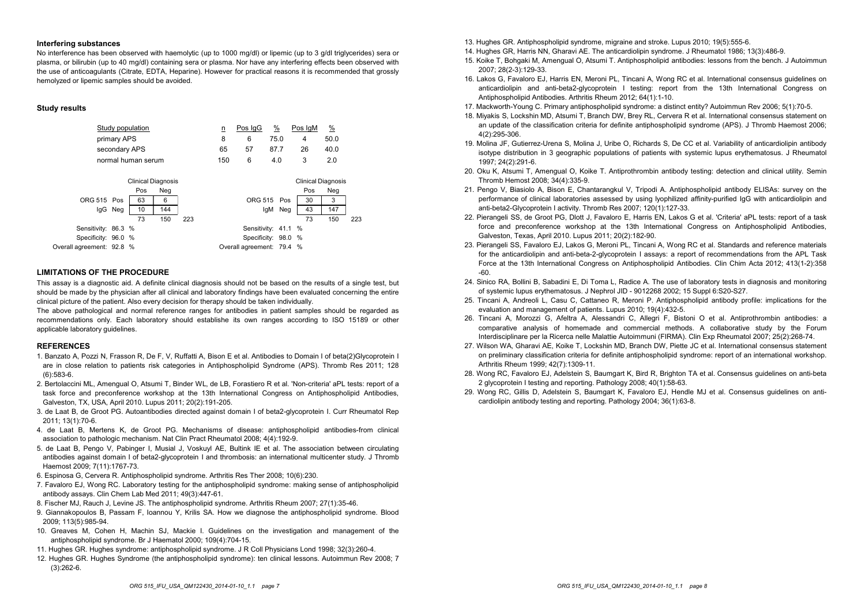#### **Interfering substances**

No interference has been observed with haemolytic (up to 1000 mg/dl) or lipemic (up to 3 g/dl triglycerides) sera or plasma, or bilirubin (up to 40 mg/dl) containing sera or plasma. Nor have any interfering effects been observed with the use of anticoagulants (Citrate, EDTA, Heparine). However for practical reasons it is recommended that grossly hemolyzed or lipemic samples should be avoided.

## **Study results**

| Study population                                                                                                                                                                            |  |  |  | <u>n</u> | Pos IgG                                                                 | <u>%</u>                  | Pos IgM               | <u>%</u>                                            |     |
|---------------------------------------------------------------------------------------------------------------------------------------------------------------------------------------------|--|--|--|----------|-------------------------------------------------------------------------|---------------------------|-----------------------|-----------------------------------------------------|-----|
| primary APS                                                                                                                                                                                 |  |  |  | 8        | 6                                                                       | 75.0                      | 4                     | 50.0                                                |     |
| secondary APS                                                                                                                                                                               |  |  |  | 65       | 57                                                                      | 87.7                      | 26                    | 40.0                                                |     |
| normal human serum                                                                                                                                                                          |  |  |  | 150      | 6                                                                       | 4.0                       | 3                     | 2.0                                                 |     |
| <b>Clinical Diagnosis</b><br>Pos<br>Neg<br>63<br>6<br>ORG 515 Pos<br>10<br>144<br>lgG<br>Neg<br>73<br>150<br>223<br>Sensitivity: 86.3 %<br>Specificity: 96.0 %<br>Overall agreement: 92.8 % |  |  |  |          | Sensitivity: 41.1 %<br>Specificity: 98.0 %<br>Overall agreement: 79.4 % | ORG 515 Pos<br>lgM<br>Neg | Pos<br>30<br>43<br>73 | <b>Clinical Diagnosis</b><br>Neg<br>3<br>147<br>150 | 223 |

#### **LIMITATIONS OF THE PROCEDURE**

This assay is <sup>a</sup> diagnostic aid. A definite clinical diagnosis should not be based on the results of <sup>a</sup> single test, but should be made by the physician after all clinical and laboratory findings have been evaluated concerning the entire clinical picture of the patient. Also every decision for therapy should be taken individually.

The above pathological and normal reference ranges for antibodies in patient samples should be regarded as recommendations only. Each laboratory should establishe its own ranges according to ISO 15189 or other applicable laboratory guidelines.

#### **REFERENCES**

- 1. Banzato A, Pozzi N, Frasson R, De F, V, Ruffatti A, Bison E et al. Antibodies to Domain I of beta(2)Glycoprotein I are in close relation to patients risk categories in Antiphospholipid Syndrome (APS). Thromb Res 2011; 128 (6):583-6.
- 2. Bertolaccini ML, Amengual O, Atsumi T, Binder WL, de LB, Forastiero R et al. 'Non-criteria' aPL tests: report of a task force and preconference workshop at the 13th International Congress on Antiphospholipid Antibodies, Galveston, TX, USA, April 2010. Lupus 2011; 20(2):191-205.
- 3. de Laat B, de Groot PG. Autoantibodies directed against domain I of beta2-glycoprotein I. Curr Rheumatol Rep 2011; 13(1):70-6.
- 4. de Laat B, Mertens K, de Groot PG. Mechanisms of disease: antiphospholipid antibodies-from clinical association to pathologic mechanism. Nat Clin Pract Rheumatol 2008; 4(4):192-9.
- 5. de Laat B, Pengo V, Pabinger I, Musial J, Voskuyl AE, Bultink IE et al. The association between circulating antibodies against domain I of beta2-glycoprotein I and thrombosis: an international multicenter study. J Thromb Haemost 2009; 7(11):1767-73.
- 6. Espinosa G, Cervera R. Antiphospholipid syndrome. Arthritis Res Ther 2008; 10(6):230.
- 7. Favaloro EJ, Wong RC. Laboratory testing for the antiphospholipid syndrome: making sense of antiphospholipid antibody assays. Clin Chem Lab Med 2011; 49(3):447-61.
- 8. Fischer MJ, Rauch J, Levine JS. The antiphospholipid syndrome. Arthritis Rheum 2007; 27(1):35-46.
- 9. Giannakopoulos B, Passam F, Ioannou Y, Krilis SA. How we diagnose the antiphospholipid syndrome. Blood 2009; 113(5):985-94.
- 10. Greaves M, Cohen H, Machin SJ, Mackie I. Guidelines on the investigation and management of the antiphospholipid syndrome. Br J Haematol 2000; 109(4):704-15.
- 11. Hughes GR. Hughes syndrome: antiphospholipid syndrome. J R Coll Physicians Lond 1998; 32(3):260-4.
- 12. Hughes GR. Hughes Syndrome (the antiphospholipid syndrome): ten clinical lessons. Autoimmun Rev 2008; 7 (3):262-6.
- 13. Hughes GR. Antiphospholipid syndrome, migraine and stroke. Lupus 2010; 19(5):555-6.
- 14. Hughes GR, Harris NN, Gharavi AE. The anticardiolipin syndrome. J Rheumatol 1986; 13(3):486-9.
- 15. Koike T, Bohgaki M, Amengual O, Atsumi T. Antiphospholipid antibodies: lessons from the bench. J Autoimmun 2007; 28(2-3):129-33.
- 16. Lakos G, Favaloro EJ, Harris EN, Meroni PL, Tincani A, Wong RC et al. International consensus guidelines on anticardiolipin and anti-beta2-glycoprotein I testing: report from the 13th International Congress on Antiphospholipid Antibodies. Arthritis Rheum 2012; 64(1):1-10.
- 17. Mackworth-Young C. Primary antiphospholipid syndrome: a distinct entity? Autoimmun Rev 2006; 5(1):70-5.
- 18. Miyakis S, Lockshin MD, Atsumi T, Branch DW, Brey RL, Cervera R et al. International consensus statement on an update of the classification criteria for definite antiphospholipid syndrome (APS). J Thromb Haemost 2006; 4(2):295-306.
- 19. Molina JF, Gutierrez-Urena S, Molina J, Uribe O, Richards S, De CC et al. Variability of anticardiolipin antibody isotype distribution in 3 geographic populations of patients with systemic lupus erythematosus. J Rheumatol 1997; 24(2):291-6.
- 20. Oku K, Atsumi T, Amengual O, Koike T. Antiprothrombin antibody testing: detection and clinical utility. Semin Thromb Hemost 2008; 34(4):335-9.
- 21. Pengo V, Biasiolo A, Bison E, Chantarangkul V, Tripodi A. Antiphospholipid antibody ELISAs: survey on the performance of clinical laboratories assessed by using lyophilized affinity-purified IgG with anticardiolipin and anti-beta2-Glycoprotein I activity. Thromb Res 2007; 120(1):127-33.
- 22. Pierangeli SS, de Groot PG, Dlott J, Favaloro E, Harris EN, Lakos G et al. 'Criteria' aPL tests: report of <sup>a</sup> task force and preconference workshop at the 13th International Congress on Antiphospholipid Antibodies, Galveston, Texas, April 2010. Lupus 2011; 20(2):182-90.
- 23. Pierangeli SS, Favaloro EJ, Lakos G, Meroni PL, Tincani A, Wong RC et al. Standards and reference materials for the anticardiolipin and anti-beta-2-glycoprotein I assays: <sup>a</sup> report of recommendations from the APL Task Force at the 13th International Congress on Antiphospholipid Antibodies. Clin Chim Acta 2012; 413(1-2):358 -60.
- 24. Sinico RA, Bollini B, Sabadini E, Di Toma L, Radice A. The use of laboratory tests in diagnosis and monitoring of systemic lupus erythematosus. J Nephrol JID - 9012268 2002; 15 Suppl 6:S20-S27.
- 25. Tincani A, Andreoli L, Casu C, Cattaneo R, Meroni P. Antiphospholipid antibody profile: implications for the evaluation and management of patients. Lupus 2010; 19(4):432-5.
- 26. Tincani A, Morozzi G, Afeltra A, Alessandri C, Allegri F, Bistoni O et al. Antiprothrombin antibodies: <sup>a</sup> comparative analysis of homemade and commercial methods. <sup>A</sup> collaborative study by the Forum Interdisciplinare per la Ricerca nelle Malattie Autoimmuni (FIRMA). Clin Exp Rheumatol 2007; 25(2):268-74.
- 27. Wilson WA, Gharavi AE, Koike T, Lockshin MD, Branch DW, Piette JC et al. International consensus statement on preliminary classification criteria for definite antiphospholipid syndrome: report of an international workshop. Arthritis Rheum 1999; 42(7):1309-11.
- 28. Wong RC, Favaloro EJ, Adelstein S, Baumgart K, Bird R, Brighton TA et al. Consensus guidelines on anti-beta 2 glycoprotein I testing and reporting. Pathology 2008; 40(1):58-63.
- 29. Wong RC, Gillis D, Adelstein S, Baumgart K, Favaloro EJ, Hendle MJ et al. Consensus guidelines on anticardiolipin antibody testing and reporting. Pathology 2004; 36(1):63-8.